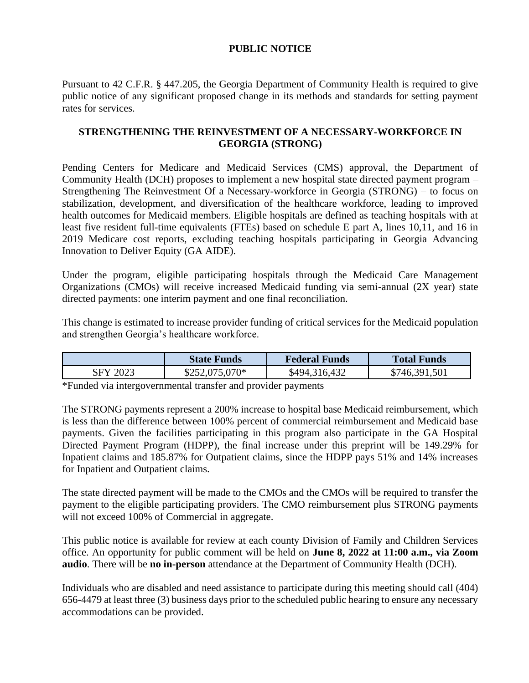## **PUBLIC NOTICE**

Pursuant to 42 C.F.R. § 447.205, the Georgia Department of Community Health is required to give public notice of any significant proposed change in its methods and standards for setting payment rates for services.

## **STRENGTHENING THE REINVESTMENT OF A NECESSARY-WORKFORCE IN GEORGIA (STRONG)**

Pending Centers for Medicare and Medicaid Services (CMS) approval, the Department of Community Health (DCH) proposes to implement a new hospital state directed payment program – Strengthening The Reinvestment Of a Necessary-workforce in Georgia (STRONG) – to focus on stabilization, development, and diversification of the healthcare workforce, leading to improved health outcomes for Medicaid members. Eligible hospitals are defined as teaching hospitals with at least five resident full-time equivalents (FTEs) based on schedule E part A, lines 10,11, and 16 in 2019 Medicare cost reports, excluding teaching hospitals participating in Georgia Advancing Innovation to Deliver Equity (GA AIDE).

Under the program, eligible participating hospitals through the Medicaid Care Management Organizations (CMOs) will receive increased Medicaid funding via semi-annual (2X year) state directed payments: one interim payment and one final reconciliation.

This change is estimated to increase provider funding of critical services for the Medicaid population and strengthen Georgia's healthcare workforce.

|          | <b>State Funds</b> | <b>Federal Funds</b> | <b>Total Funds</b> |
|----------|--------------------|----------------------|--------------------|
| SFY 2023 | $$252,075,070*$    | \$494,316,432        | \$746,391,501      |

\*Funded via intergovernmental transfer and provider payments

The STRONG payments represent a 200% increase to hospital base Medicaid reimbursement, which is less than the difference between 100% percent of commercial reimbursement and Medicaid base payments. Given the facilities participating in this program also participate in the GA Hospital Directed Payment Program (HDPP), the final increase under this preprint will be 149.29% for Inpatient claims and 185.87% for Outpatient claims, since the HDPP pays 51% and 14% increases for Inpatient and Outpatient claims.

The state directed payment will be made to the CMOs and the CMOs will be required to transfer the payment to the eligible participating providers. The CMO reimbursement plus STRONG payments will not exceed 100% of Commercial in aggregate.

This public notice is available for review at each county Division of Family and Children Services office. An opportunity for public comment will be held on **June 8, 2022 at 11:00 a.m., via Zoom audio**. There will be **no in-person** attendance at the Department of Community Health (DCH).

Individuals who are disabled and need assistance to participate during this meeting should call (404) 656-4479 at least three (3) business days prior to the scheduled public hearing to ensure any necessary accommodations can be provided.